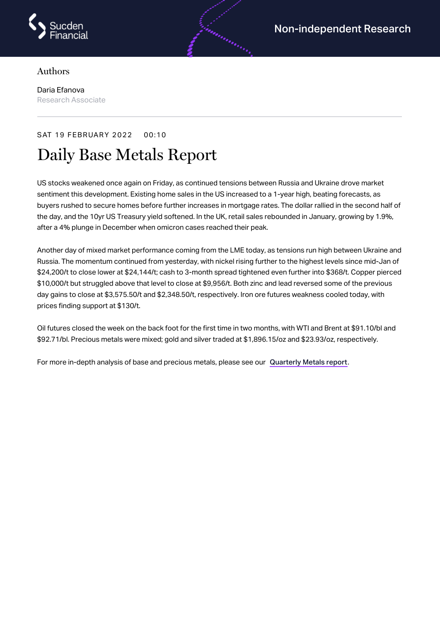

## Authors

Daria Efanova Research Associate

## SAT 19 FEBRUARY 2022 00:10

## Daily Base Metals Report

US stocks weakened once again on Friday, as continued tensions between Russia and Ukraine drove market sentiment this development. Existing home sales in the US increased to a 1-year high, beating forecasts, as buyers rushed to secure homes before further increases in mortgage rates. The dollar rallied in the second half of the day, and the 10yr US Treasury yield softened. In the UK, retail sales rebounded in January, growing by 1.9%, after a 4% plunge in December when omicron cases reached their peak.

Another day of mixed market performance coming from the LME today, as tensions run high between Ukraine and Russia. The momentum continued from yesterday, with nickel rising further to the highest levels since mid-Jan of \$24,200/t to close lower at \$24,144/t; cash to 3-month spread tightened even further into \$368/t. Copper pierced \$10,000/t but struggled above that level to close at \$9,956/t. Both zinc and lead reversed some of the previous day gains to close at \$3,575.50/t and \$2,348.50/t, respectively. Iron ore futures weakness cooled today, with prices finding support at \$130/t.

Oil futures closed the week on the back foot for the first time in two months, with WTI and Brent at \$91.10/bl and \$92.71/bl. Precious metals were mixed; gold and silver traded at \$1,896.15/oz and \$23.93/oz, respectively.

For more in-depth analysis of base and precious metals, please see our [Quarterly](https://www.sucdenfinancial.com/en/reports/quarterly-metals/qmr-q1-2022/) Metals report.